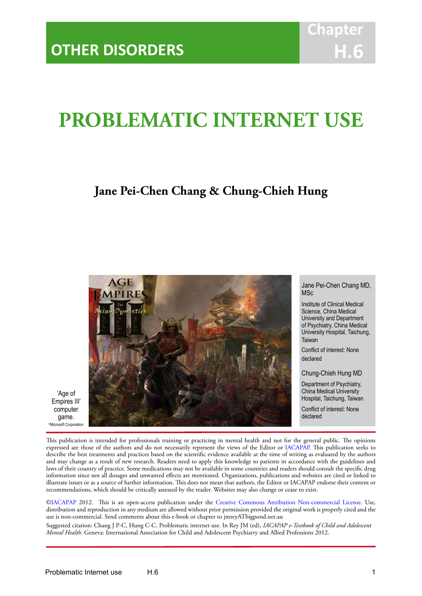# **PROBLEMATIC INTERNET USE**

IACAPAP Textbook of Child and Adolescent Mental Health

# **Jane Pei-Chen Chang & Chung-Chieh Hung**



'Age of Empires III' computer game. ©Microsoft Corporation

Jane Pei-Chen Chang MD, **MSc** 

Institute of Clinical Medical Science, China Medical University and Department of Psychiatry, China Medical University Hospital, Taichung, Taiwan

Conflict of interest: None declared

Chung-Chieh Hung MD

Department of Psychiatry, China Medical University Hospital, Taichung, Taiwan

Conflict of interest: None declared

This publication is intended for professionals training or practicing in mental health and not for the general public. The opinions expressed are those of the authors and do not necessarily represent the views of the Editor or [IACAPAP](http://iacapap.org). This publication seeks to describe the best treatments and practices based on the scientific evidence available at the time of writing as evaluated by the authors and may change as a result of new research. Readers need to apply this knowledge to patients in accordance with the guidelines and laws of their country of practice. Some medications may not be available in some countries and readers should consult the specific drug information since not all dosages and unwanted effects are mentioned. Organizations, publications and websites are cited or linked to illustrate issues or as a source of further information. This does not mean that authors, the Editor or IACAPAP endorse their content or recommendations, which should be critically assessed by the reader. Websites may also change or cease to exist.

[©IACAPAP](http://iacapap.org) 2012. This is an open-access publication under the [Creative Commons Attribution Non-commercial License](http://creativecommons.org). Use, distribution and reproduction in any medium are allowed without prior permission provided the original work is properly cited and the use is non-commercial. Send comments about this e-book or chapter to jmreyATbigpond.net.au

Suggested citation: Chang J P-C, Hung C-C. Problematic internet use. In Rey JM (ed), *IACAPAP e-Textbook of Child and Adolescent Mental Health*. Geneva: International Association for Child and Adolescent Psychiatry and Allied Professions 2012.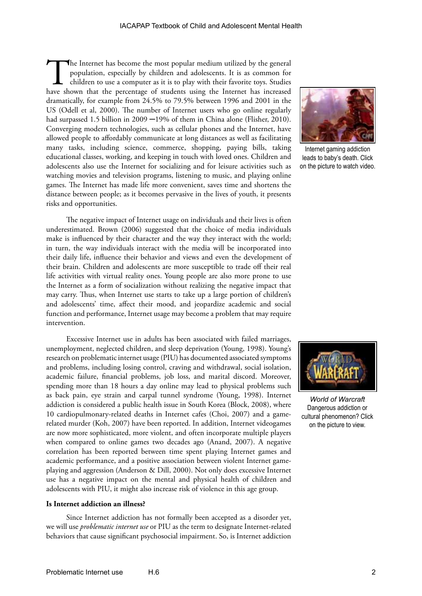The Internet has become the most popular medium utilized by the general population, especially by children and adolescents. It is as common for children to use a computer as it is to play with their favorite toys. Studies population, especially by children and adolescents. It is as common for children to use a computer as it is to play with their favorite toys. Studies dramatically, for example from 24.5% to 79.5% between 1996 and 2001 in the US (Odell et al, 2000). The number of Internet users who go online regularly had surpassed 1.5 billion in 2009 -19% of them in China alone (Flisher, 2010). Converging modern technologies, such as cellular phones and the Internet, have allowed people to affordably communicate at long distances as well as facilitating many tasks, including science, commerce, shopping, paying bills, taking educational classes, working, and keeping in touch with loved ones. Children and adolescents also use the Internet for socializing and for leisure activities such as watching movies and television programs, listening to music, and playing online games. The Internet has made life more convenient, saves time and shortens the distance between people; as it becomes pervasive in the lives of youth, it presents risks and opportunities.

The negative impact of Internet usage on individuals and their lives is often underestimated. Brown (2006) suggested that the choice of media individuals make is influenced by their character and the way they interact with the world; in turn, the way individuals interact with the media will be incorporated into their daily life, influence their behavior and views and even the development of their brain. Children and adolescents are more susceptible to trade off their real life activities with virtual reality ones. Young people are also more prone to use the Internet as a form of socialization without realizing the negative impact that may carry. Thus, when Internet use starts to take up a large portion of children's and adolescents' time, affect their mood, and jeopardize academic and social function and performance, Internet usage may become a problem that may require intervention.

Excessive Internet use in adults has been associated with failed marriages, unemployment, neglected children, and sleep deprivation (Young, 1998). Young's research on problematic internet usage (PIU) has documented associated symptoms and problems, including losing control, craving and withdrawal, social isolation, academic failure, financial problems, job loss, and marital discord. Moreover, spending more than 18 hours a day online may lead to physical problems such as back pain, eye strain and carpal tunnel syndrome (Young, 1998). Internet addiction is considered a public health issue in South Korea (Block, 2008), where 10 cardiopulmonary-related deaths in Internet cafes (Choi, 2007) and a gamerelated murder (Koh, 2007) have been reported. In addition, Internet videogames are now more sophisticated, more violent, and often incorporate multiple players when compared to online games two decades ago (Anand, 2007). A negative correlation has been reported between time spent playing Internet games and academic performance, and a positive association between violent Internet gameplaying and aggression (Anderson & Dill, 2000). Not only does excessive Internet use has a negative impact on the mental and physical health of children and adolescents with PIU, it might also increase risk of violence in this age group.

#### **Is Internet addiction an illness?**

Since Internet addiction has not formally been accepted as a disorder yet, we will use *problematic internet use* or PIU as the term to designate Internet-related behaviors that cause significant psychosocial impairment. So, is Internet addiction



Internet gaming addiction leads to baby's death. Click on the picture to watch video.



*World of Warcraft* Dangerous addiction or cultural phenomenon? Click on the picture to view.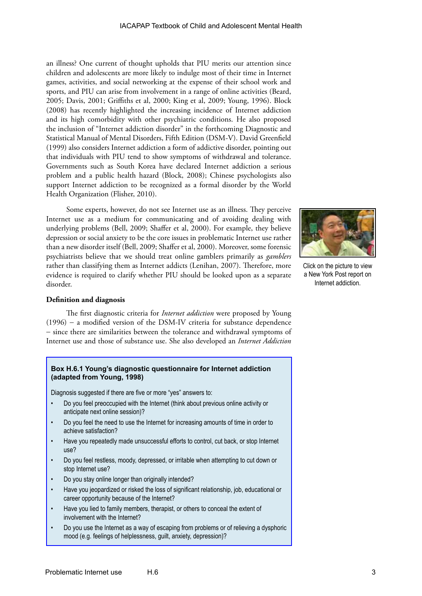an illness? One current of thought upholds that PIU merits our attention since children and adolescents are more likely to indulge most of their time in Internet games, activities, and social networking at the expense of their school work and sports, and PIU can arise from involvement in a range of online activities (Beard, 2005; Davis, 2001; Griffiths et al, 2000; King et al, 2009; Young, 1996). Block (2008) has recently highlighted the increasing incidence of Internet addiction and its high comorbidity with other psychiatric conditions. He also proposed the inclusion of "Internet addiction disorder" in the forthcoming Diagnostic and Statistical Manual of Mental Disorders, Fifth Edition (DSM-V). David Greenfield (1999) also considers Internet addiction a form of addictive disorder, pointing out that individuals with PIU tend to show symptoms of withdrawal and tolerance. Governments such as South Korea have declared Internet addiction a serious problem and a public health hazard (Block, 2008); Chinese psychologists also support Internet addiction to be recognized as a formal disorder by the World Health Organization (Flisher, 2010).

Some experts, however, do not see Internet use as an illness. They perceive Internet use as a medium for communicating and of avoiding dealing with underlying problems (Bell, 2009; Shaffer et al, 2000). For example, they believe depression or social anxiety to be the core issues in problematic Internet use rather than a new disorder itself (Bell, 2009; Shaffer et al, 2000). Moreover, some forensic psychiatrists believe that we should treat online gamblers primarily as *gamblers* rather than classifying them as Internet addicts (Lenihan, 2007). Therefore, more evidence is required to clarify whether PIU should be looked upon as a separate disorder.



Click on the picture to view a New York Post report on Internet addiction.

#### **Definition and diagnosis**

The first diagnostic criteria for *Internet addiction* were proposed by Young (1996) − a modified version of the DSM-IV criteria for substance dependence − since there are similarities between the tolerance and withdrawal symptoms of Internet use and those of substance use. She also developed an *Internet Addiction* 

#### **Box H.6.1 Young's diagnostic questionnaire for Internet addiction (adapted from Young, 1998)**

Diagnosis suggested if there are five or more "yes" answers to:

- Do you feel preoccupied with the Internet (think about previous online activity or anticipate next online session)?
- Do you feel the need to use the Internet for increasing amounts of time in order to achieve satisfaction?
- Have you repeatedly made unsuccessful efforts to control, cut back, or stop Internet use?
- Do you feel restless, moody, depressed, or irritable when attempting to cut down or stop Internet use?
- Do you stay online longer than originally intended?
- Have you jeopardized or risked the loss of significant relationship, job, educational or career opportunity because of the Internet?
- Have you lied to family members, therapist, or others to conceal the extent of involvement with the Internet?
- Do you use the Internet as a way of escaping from problems or of relieving a dysphoric mood (e.g. feelings of helplessness, guilt, anxiety, depression)?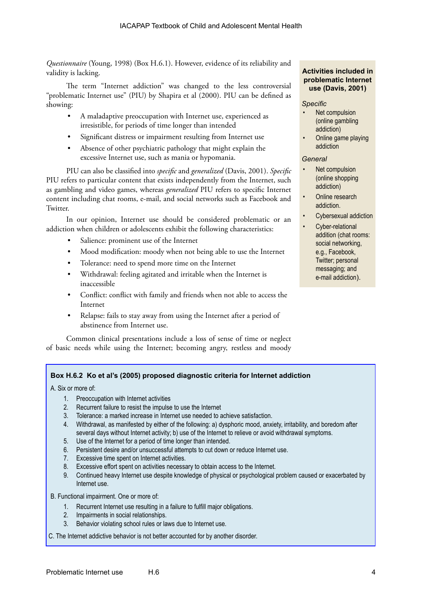*Questionnaire* (Young, 1998) (Box H.6.1). However, evidence of its reliability and validity is lacking.

The term "Internet addiction" was changed to the less controversial "problematic Internet use" (PIU) by Shapira et al (2000). PIU can be defined as showing:

- A maladaptive preoccupation with Internet use, experienced as irresistible, for periods of time longer than intended
- Significant distress or impairment resulting from Internet use
- Absence of other psychiatric pathology that might explain the excessive Internet use, such as mania or hypomania.

PIU can also be classified into *specific* and *generalized* (Davis, 2001). *Specific* PIU refers to particular content that exists independently from the Internet, such as gambling and video games, whereas *generalized* PIU refers to specific Internet content including chat rooms, e-mail, and social networks such as Facebook and Twitter.

In our opinion, Internet use should be considered problematic or an addiction when children or adolescents exhibit the following characteristics:

- Salience: prominent use of the Internet
- Mood modification: moody when not being able to use the Internet
- Tolerance: need to spend more time on the Internet
- Withdrawal: feeling agitated and irritable when the Internet is inaccessible
- Conflict: conflict with family and friends when not able to access the Internet
- Relapse: fails to stay away from using the Internet after a period of abstinence from Internet use.

Common clinical presentations include a loss of sense of time or neglect of basic needs while using the Internet; becoming angry, restless and moody

#### **Activities included in problematic Internet use (Davis, 2001)**

#### *Specific*

- Net compulsion (online gambling addiction)
- Online game playing addiction

#### *General*

- Net compulsion (online shopping addiction)
- Online research addiction.
- Cybersexual addiction
- Cyber-relational addition (chat rooms: social networking, e.g., Facebook, Twitter; personal messaging; and e-mail addiction).

# **Box H.6.2 Ko et al's (2005) proposed diagnostic criteria for Internet addiction**

A. Six or more of:

- 1. Preoccupation with Internet activities
- 2. Recurrent failure to resist the impulse to use the Internet
- 3. Tolerance: a marked increase in Internet use needed to achieve satisfaction.
- 4. Withdrawal, as manifested by either of the following: a) dysphoric mood, anxiety, irritability, and boredom after several days without Internet activity; b) use of the Internet to relieve or avoid withdrawal symptoms.
- 5. Use of the Internet for a period of time longer than intended.
- 6. Persistent desire and/or unsuccessful attempts to cut down or reduce Internet use.
- 7. Excessive time spent on Internet activities.
- 8. Excessive effort spent on activities necessary to obtain access to the Internet.
- 9. Continued heavy Internet use despite knowledge of physical or psychological problem caused or exacerbated by Internet use.
- B. Functional impairment. One or more of:
	- 1. Recurrent Internet use resulting in a failure to fulfill major obligations.
	- 2. Impairments in social relationships.
	- 3. Behavior violating school rules or laws due to Internet use.

C. The Internet addictive behavior is not better accounted for by another disorder.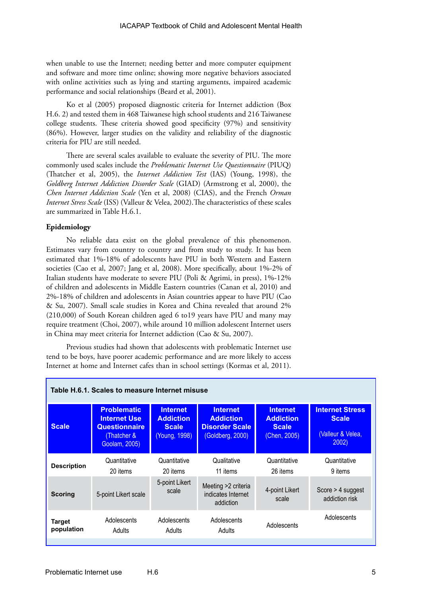when unable to use the Internet; needing better and more computer equipment and software and more time online; showing more negative behaviors associated with online activities such as lying and starting arguments, impaired academic performance and social relationships (Beard et al, 2001).

Ko et al (2005) proposed diagnostic criteria for Internet addiction (Box H.6. 2) and tested them in 468 Taiwanese high school students and 216 Taiwanese college students. These criteria showed good specificity (97%) and sensitivity (86%). However, larger studies on the validity and reliability of the diagnostic criteria for PIU are still needed.

There are several scales available to evaluate the severity of PIU. The more commonly used scales include the *Problematic Internet Use Questionnaire* (PIUQ) (Thatcher et al, 2005), the *Internet Addiction Test* (IAS) (Young, 1998), the *Goldberg Internet Addiction Disorder Scale* (GIAD) (Armstrong et al, 2000), the *Chen Internet Addiction Scale* (Yen et al, 2008) (CIAS), and the French *Orman Internet Stress Scale* (ISS) (Valleur & Velea, 2002).The characteristics of these scales are summarized in Table H.6.1.

## **Epidemiology**

No reliable data exist on the global prevalence of this phenomenon. Estimates vary from country to country and from study to study. It has been estimated that 1%-18% of adolescents have PIU in both Western and Eastern societies (Cao et al, 2007; Jang et al, 2008). More specifically, about 1%-2% of Italian students have moderate to severe PIU (Poli & Agrimi, in press), 1%-12% of children and adolescents in Middle Eastern countries (Canan et al, 2010) and 2%-18% of children and adolescents in Asian countries appear to have PIU (Cao & Su, 2007). Small scale studies in Korea and China revealed that around 2% (210,000) of South Korean children aged 6 to19 years have PIU and many may require treatment (Choi, 2007), while around 10 million adolescent Internet users in China may meet criteria for Internet addiction (Cao & Su, 2007).

Previous studies had shown that adolescents with problematic Internet use tend to be boys, have poorer academic performance and are more likely to access Internet at home and Internet cafes than in school settings (Kormas et al, 2011).

| Table H.6.1. Scales to measure Internet misuse |                                                                                                  |                                                                      |                                                                                  |                                                                     |                                                                      |  |  |  |
|------------------------------------------------|--------------------------------------------------------------------------------------------------|----------------------------------------------------------------------|----------------------------------------------------------------------------------|---------------------------------------------------------------------|----------------------------------------------------------------------|--|--|--|
| <b>Scale</b>                                   | <b>Problematic</b><br><b>Internet Use</b><br><b>Questionnaire</b><br>Thatcher &<br>Goolam, 2005) | <b>Internet</b><br><b>Addiction</b><br><b>Scale</b><br>(Young, 1998) | <b>Internet</b><br><b>Addiction</b><br><b>Disorder Scale</b><br>(Goldberg, 2000) | <b>Internet</b><br><b>Addiction</b><br><b>Scale</b><br>(Chen, 2005) | <b>Internet Stress</b><br><b>Scale</b><br>(Valleur & Velea,<br>2002) |  |  |  |
| <b>Description</b>                             | Quantitative<br>20 items                                                                         | Quantitative<br>20 items                                             | Qualitative<br>11 items                                                          | Quantitative<br>26 items                                            | Quantitative<br>9 items                                              |  |  |  |
| <b>Scoring</b>                                 | 5-point Likert scale                                                                             | 5-point Likert<br>scale                                              | Meeting >2 criteria<br>indicates Internet<br>addiction                           | 4-point Likert<br>scale                                             | Score $>$ 4 suggest<br>addiction risk                                |  |  |  |
| <b>Target</b><br>population                    | Adolescents<br>Adults                                                                            | Adolescents<br>Adults                                                | Adolescents<br>Adults                                                            | Adolescents                                                         | Adolescents                                                          |  |  |  |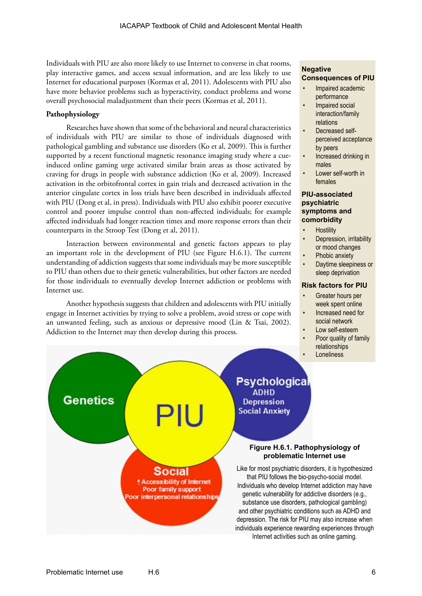Individuals with PIU are also more likely to use Internet to converse in chat rooms, play interactive games, and access sexual information, and are less likely to use Internet for educational purposes (Kormas et al, 2011). Adolescents with PIU also have more behavior problems such as hyperactivity, conduct problems and worse overall psychosocial maladjustment than their peers (Kormas et al, 2011).

# **Pathophysiology**

Researches have shown that some of the behavioral and neural characteristics of individuals with PIU are similar to those of individuals diagnosed with pathological gambling and substance use disorders (Ko et al, 2009). This is further supported by a recent functional magnetic resonance imaging study where a cueinduced online gaming urge activated similar brain areas as those activated by craving for drugs in people with substance addiction (Ko et al, 2009). Increased activation in the orbitofrontal cortex in gain trials and decreased activation in the anterior cingulate cortex in loss trials have been described in individuals affected with PIU (Dong et al, in press). Individuals with PIU also exhibit poorer executive control and poorer impulse control than non-affected individuals; for example affected individuals had longer reaction times and more response errors than their counterparts in the Stroop Test (Dong et al, 2011).

Interaction between environmental and genetic factors appears to play an important role in the development of PIU (see Figure H.6.1). The current understanding of addiction suggests that some individuals may be more susceptible to PIU than others due to their genetic vulnerabilities, but other factors are needed for those individuals to eventually develop Internet addiction or problems with Internet use.

Another hypothesis suggests that children and adolescents with PIU initially engage in Internet activities by trying to solve a problem, avoid stress or cope with an unwanted feeling, such as anxious or depressive mood (Lin & Tsai, 2002). Addiction to the Internet may then develop during this process.

> Social **1 Accessibility of Internet** Poor family support oor interpersonal relationship

# **Negative Consequences of PIU**

- Impaired academic performance
- Impaired social interaction/family relations
- Decreased selfperceived acceptance by peers
- Increased drinking in males
- Lower self-worth in females

## **PIU-associated psychiatric symptoms and comorbidity**

- **Hostility**
- Depression, irritability or mood changes
- Phobic anxiety
- Daytime sleepiness or sleep deprivation

#### **Risk factors for PIU**

- Greater hours per week spent online
- Increased need for social network
- Low self-esteem
- Poor quality of family relationships
	- **Loneliness**

**Psychological ADHD Depression Social Anxiety** 

#### **Figure H.6.1. Pathophysiology of problematic Internet use**

Like for most psychiatric disorders, it is hypothesized that PIU follows the bio-psycho-social model. Individuals who develop Internet addiction may have genetic vulnerability for addictive disorders (e.g., substance use disorders, pathological gambling) and other psychiatric conditions such as ADHD and depression. The risk for PIU may also increase when individuals experience rewarding experiences through Internet activities such as online gaming.

**Genetics**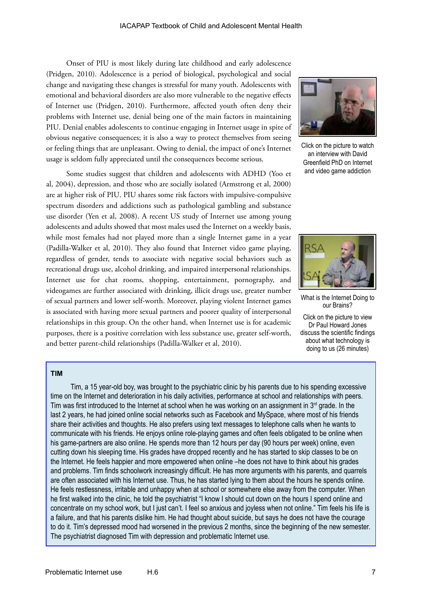Onset of PIU is most likely during late childhood and early adolescence (Pridgen, 2010). Adolescence is a period of biological, psychological and social change and navigating these changes is stressful for many youth. Adolescents with emotional and behavioral disorders are also more vulnerable to the negative effects of Internet use (Pridgen, 2010). Furthermore, affected youth often deny their problems with Internet use, denial being one of the main factors in maintaining PIU. Denial enables adolescents to continue engaging in Internet usage in spite of obvious negative consequences; it is also a way to protect themselves from seeing or feeling things that are unpleasant. Owing to denial, the impact of one's Internet usage is seldom fully appreciated until the consequences become serious.

Some studies suggest that children and adolescents with ADHD (Yoo et al, 2004), depression, and those who are socially isolated (Armstrong et al, 2000) are at higher risk of PIU. PIU shares some risk factors with impulsive-compulsive spectrum disorders and addictions such as pathological gambling and substance use disorder (Yen et al, 2008). A recent US study of Internet use among young adolescents and adults showed that most males used the Internet on a weekly basis, while most females had not played more than a single Internet game in a year (Padilla-Walker et al, 2010). They also found that Internet video game playing, regardless of gender, tends to associate with negative social behaviors such as recreational drugs use, alcohol drinking, and impaired interpersonal relationships. Internet use for chat rooms, shopping, entertainment, pornography, and videogames are further associated with drinking, illicit drugs use, greater number of sexual partners and lower self-worth. Moreover, playing violent Internet games is associated with having more sexual partners and poorer quality of interpersonal relationships in this group. On the other hand, when Internet use is for academic purposes, there is a positive correlation with less substance use, greater self-worth, and better parent-child relationships (Padilla-Walker et al, 2010).



Click on the picture to watch an interview with David Greenfield PhD on Internet and video game addiction



What is the Internet Doing to our Brains?

Click on the picture to view Dr Paul Howard Jones discuss the scientific findings about what technology is doing to us (26 minutes)

## **TIM**

Tim, a 15 year-old boy, was brought to the psychiatric clinic by his parents due to his spending excessive time on the Internet and deterioration in his daily activities, performance at school and relationships with peers. Tim was first introduced to the Internet at school when he was working on an assignment in  $3<sup>rd</sup>$  grade. In the last 2 years, he had joined online social networks such as Facebook and MySpace, where most of his friends share their activities and thoughts. He also prefers using text messages to telephone calls when he wants to communicate with his friends. He enjoys online role-playing games and often feels obligated to be online when his game-partners are also online. He spends more than 12 hours per day (90 hours per week) online, even cutting down his sleeping time. His grades have dropped recently and he has started to skip classes to be on the Internet. He feels happier and more empowered when online –he does not have to think about his grades and problems. Tim finds schoolwork increasingly difficult. He has more arguments with his parents, and quarrels are often associated with his Internet use. Thus, he has started lying to them about the hours he spends online. He feels restlessness, irritable and unhappy when at school or somewhere else away from the computer. When he first walked into the clinic, he told the psychiatrist "I know I should cut down on the hours I spend online and concentrate on my school work, but I just can't. I feel so anxious and joyless when not online." Tim feels his life is a failure, and that his parents dislike him. He had thought about suicide, but says he does not have the courage to do it. Tim's depressed mood had worsened in the previous 2 months, since the beginning of the new semester. The psychiatrist diagnosed Tim with depression and problematic Internet use.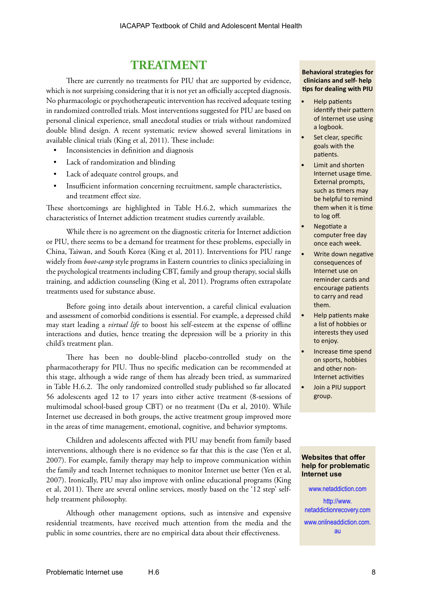# **TREATMENT**

There are currently no treatments for PIU that are supported by evidence, which is not surprising considering that it is not yet an officially accepted diagnosis. No pharmacologic or psychotherapeutic intervention has received adequate testing in randomized controlled trials. Most interventions suggested for PIU are based on personal clinical experience, small anecdotal studies or trials without randomized double blind design. A recent systematic review showed several limitations in available clinical trials (King et al, 2011). These include:

- Inconsistencies in definition and diagnosis
- Lack of randomization and blinding
- Lack of adequate control groups, and
- Insufficient information concerning recruitment, sample characteristics, and treatment effect size.

These shortcomings are highlighted in Table H.6.2, which summarizes the characteristics of Internet addiction treatment studies currently available.

While there is no agreement on the diagnostic criteria for Internet addiction or PIU, there seems to be a demand for treatment for these problems, especially in China, Taiwan, and South Korea (King et al, 2011). Interventions for PIU range widely from *boot-camp* style programs in Eastern countries to clinics specializing in the psychological treatments including CBT, family and group therapy, social skills training, and addiction counseling (King et al, 2011). Programs often extrapolate treatments used for substance abuse.

Before going into details about intervention, a careful clinical evaluation and assessment of comorbid conditions is essential. For example, a depressed child may start leading a *virtual life* to boost his self-esteem at the expense of offline interactions and duties, hence treating the depression will be a priority in this child's treatment plan.

There has been no double-blind placebo-controlled study on the pharmacotherapy for PIU. Thus no specific medication can be recommended at this stage, although a wide range of them has already been tried, as summarized in Table H.6.2. The only randomized controlled study published so far allocated 56 adolescents aged 12 to 17 years into either active treatment (8-sessions of multimodal school-based group CBT) or no treatment (Du et al, 2010). While Internet use decreased in both groups, the active treatment group improved more in the areas of time management, emotional, cognitive, and behavior symptoms.

Children and adolescents affected with PIU may benefit from family based interventions, although there is no evidence so far that this is the case (Yen et al, 2007). For example, family therapy may help to improve communication within the family and teach Internet techniques to monitor Internet use better (Yen et al, 2007). Ironically, PIU may also improve with online educational programs (King et al, 2011). There are several online services, mostly based on the '12 step' selfhelp treatment philosophy.

Although other management options, such as intensive and expensive residential treatments, have received much attention from the media and the public in some countries, there are no empirical data about their effectiveness.

#### **Behavioral strategies for clinicians and self- help tips for dealing with PIU**

- Help patients identify their pattern of Internet use using a logbook.
- Set clear, specific goals with the patients.
- Limit and shorten Internet usage time. External prompts, such as timers may be helpful to remind them when it is time to log off.
- Negotiate a computer free day once each week.
- Write down negative consequences of Internet use on reminder cards and encourage patients to carry and read them.
- Help patients make a list of hobbies or interests they used to enjoy.
- Increase time spend on sports, hobbies and other non-Internet activities
- Join a PIU support group.

#### **Websites that offer help for problematic Internet use**

[www.onlineaddiction.com.](http://www.onlineaddiction.com.au) [au](http://www.onlineaddiction.com.au)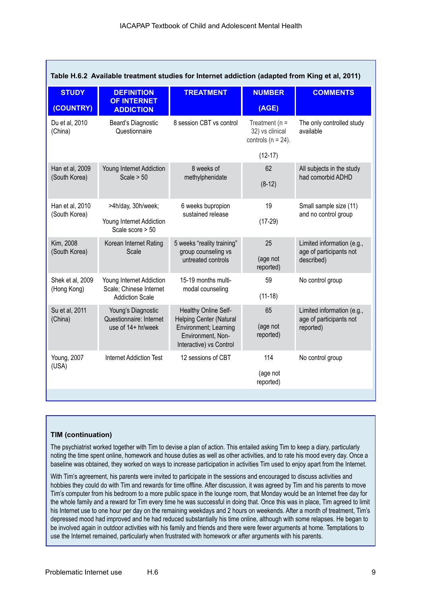| Table H.6.2 Available treatment studies for Internet addiction (adapted from King et al, 2011) |                                                   |                                                                                                                                 |                                                                |                                                                     |  |  |  |  |
|------------------------------------------------------------------------------------------------|---------------------------------------------------|---------------------------------------------------------------------------------------------------------------------------------|----------------------------------------------------------------|---------------------------------------------------------------------|--|--|--|--|
| <b>STUDY</b>                                                                                   | <b>DEFINITION</b><br><b>OF INTERNET</b>           | <b>TREATMENT</b>                                                                                                                | <b>NUMBER</b>                                                  | <b>COMMENTS</b>                                                     |  |  |  |  |
| (COUNTRY)                                                                                      | <b>ADDICTION</b>                                  |                                                                                                                                 | (AGE)                                                          |                                                                     |  |  |  |  |
| Du et al, 2010<br>(China)                                                                      | Beard's Diagnostic<br>Questionnaire               | 8 session CBT vs control                                                                                                        | Treatment ( $n =$<br>32) vs clinical<br>controls ( $n = 24$ ). | The only controlled study<br>available                              |  |  |  |  |
|                                                                                                |                                                   |                                                                                                                                 | $(12-17)$                                                      |                                                                     |  |  |  |  |
| Han et al, 2009                                                                                | Young Internet Addiction                          | 8 weeks of<br>methylphenidate                                                                                                   | 62                                                             | All subjects in the study<br>had comorbid ADHD                      |  |  |  |  |
| (South Korea)                                                                                  | Scale $> 50$                                      |                                                                                                                                 | $(8-12)$                                                       |                                                                     |  |  |  |  |
| Han et al, 2010<br>(South Korea)                                                               | >4h/day, 30h/week;                                | 6 weeks bupropion<br>sustained release                                                                                          | 19                                                             | Small sample size (11)<br>and no control group                      |  |  |  |  |
|                                                                                                | Young Internet Addiction<br>Scale score > 50      |                                                                                                                                 | $(17-29)$                                                      |                                                                     |  |  |  |  |
| Kim, 2008                                                                                      | Korean Internet Rating                            | 5 weeks "reality training"<br>group counseling vs<br>untreated controls                                                         | 25                                                             | Limited information (e.g.,<br>age of participants not<br>described) |  |  |  |  |
| (South Korea)                                                                                  | Scale                                             |                                                                                                                                 | (age not<br>reported)                                          |                                                                     |  |  |  |  |
| Shek et al, 2009                                                                               | Young Internet Addiction                          | 15-19 months multi-                                                                                                             | 59                                                             | No control group                                                    |  |  |  |  |
| (Hong Kong)                                                                                    | Scale; Chinese Internet<br><b>Addiction Scale</b> | modal counseling                                                                                                                | $(11-18)$                                                      |                                                                     |  |  |  |  |
| Su et al, 2011<br>(China)                                                                      | Young's Diagnostic<br>Questionnaire: Internet     | Healthy Online Self-<br><b>Helping Center (Natural</b><br>Environment; Learning<br>Environment, Non-<br>Interactive) vs Control | 65                                                             | Limited information (e.g.,<br>age of participants not<br>reported)  |  |  |  |  |
|                                                                                                | use of 14+ hr/week                                |                                                                                                                                 | (age not<br>reported)                                          |                                                                     |  |  |  |  |
| Young, 2007                                                                                    | <b>Internet Addiction Test</b>                    | 12 sessions of CBT                                                                                                              | 114                                                            | No control group                                                    |  |  |  |  |
| (USA)                                                                                          |                                                   |                                                                                                                                 | (age not<br>reported)                                          |                                                                     |  |  |  |  |
|                                                                                                |                                                   |                                                                                                                                 |                                                                |                                                                     |  |  |  |  |

# **TIM (continuation)**

The psychiatrist worked together with Tim to devise a plan of action. This entailed asking Tim to keep a diary, particularly noting the time spent online, homework and house duties as well as other activities, and to rate his mood every day. Once a baseline was obtained, they worked on ways to increase participation in activities Tim used to enjoy apart from the Internet.

With Tim's agreement, his parents were invited to participate in the sessions and encouraged to discuss activities and hobbies they could do with Tim and rewards for time offline. After discussion, it was agreed by Tim and his parents to move Tim's computer from his bedroom to a more public space in the lounge room, that Monday would be an Internet free day for the whole family and a reward for Tim every time he was successful in doing that. Once this was in place, Tim agreed to limit his Internet use to one hour per day on the remaining weekdays and 2 hours on weekends. After a month of treatment, Tim's depressed mood had improved and he had reduced substantially his time online, although with some relapses. He began to be involved again in outdoor activities with his family and friends and there were fewer arguments at home. Temptations to use the Internet remained, particularly when frustrated with homework or after arguments with his parents.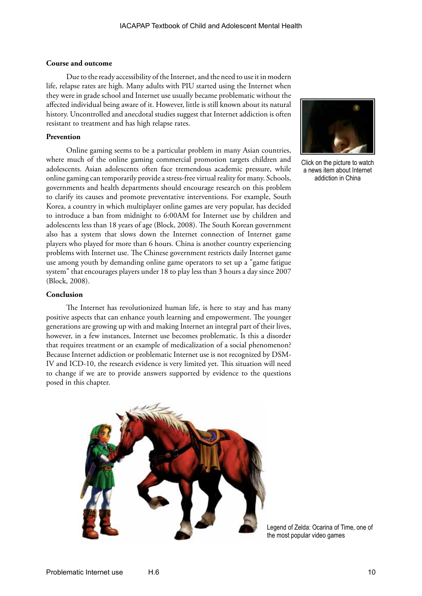#### **Course and outcome**

Due to the ready accessibility of the Internet, and the need to use it in modern life, relapse rates are high. Many adults with PIU started using the Internet when they were in grade school and Internet use usually became problematic without the affected individual being aware of it. However, little is still known about its natural history. Uncontrolled and anecdotal studies suggest that Internet addiction is often resistant to treatment and has high relapse rates.

#### **Prevention**

Online gaming seems to be a particular problem in many Asian countries, where much of the online gaming commercial promotion targets children and adolescents. Asian adolescents often face tremendous academic pressure, while online gaming can temporarily provide a stress-free virtual reality for many. Schools, governments and health departments should encourage research on this problem to clarify its causes and promote preventative interventions. For example, South Korea, a country in which multiplayer online games are very popular, has decided to introduce a ban from midnight to 6:00AM for Internet use by children and adolescents less than 18 years of age (Block, 2008). The South Korean government also has a system that slows down the Internet connection of Internet game players who played for more than 6 hours. China is another country experiencing problems with Internet use. The Chinese government restricts daily Internet game use among youth by demanding online game operators to set up a "game fatigue system" that encourages players under 18 to play less than 3 hours a day since 2007 (Block, 2008).

#### **Conclusion**

The Internet has revolutionized human life, is here to stay and has many positive aspects that can enhance youth learning and empowerment. The younger generations are growing up with and making Internet an integral part of their lives, however, in a few instances, Internet use becomes problematic. Is this a disorder that requires treatment or an example of medicalization of a social phenomenon? Because Internet addiction or problematic Internet use is not recognized by DSM-IV and ICD-10, the research evidence is very limited yet. This situation will need to change if we are to provide answers supported by evidence to the questions posed in this chapter.





Click on the picture to watch a news item about Internet addiction in China

Legend of Zelda: Ocarina of Time, one of the most popular video games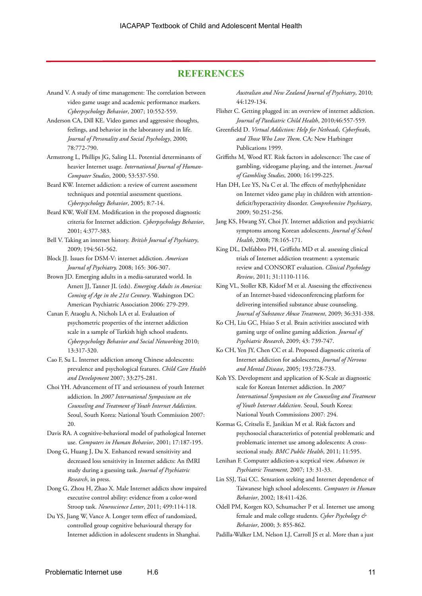# **REFERENCES**

- Anand V. A study of time management: The correlation between video game usage and academic performance markers. *Cyberpsychology Behavior*, 2007; 10:552-559.
- Anderson CA, Dill KE. Video games and aggressive thoughts, feelings, and behavior in the laboratory and in life. *Journal of Personality and Social Psychology*, 2000; 78:772-790.
- Armstrong L, Phillips JG, Saling LL. Potential determinants of heavier Internet usage. *International Journal of Human-Computer Studies*, 2000; 53:537-550.
- Beard KW. Internet addiction: a review of current assessment techniques and potential assessment questions. *Cyberpsychology Behavior*, 2005; 8:7-14.
- Beard KW, Wolf EM. Modification in the proposed diagnostic criteria for Internet addiction. *Cyberpsychology Behavior*, 2001; 4:377-383.
- Bell V. Taking an internet history. *British Journal of Psychiatry*, 2009; 194:561-562.
- Block JJ. Issues for DSM-V: internet addiction. *American Journal of Psychiatry,* 2008; 165: 306-307.
- Brown JD. Emerging adults in a media-saturated world. In Arnett JJ, Tanner JL (eds). *Emerging Adults in America: Coming of Age in the 21st Century*. Washington DC: American Psychiatric Association 2006: 279-299.
- Canan F, Ataoglu A, Nichols LA et al. Evaluation of psychometric properties of the internet addiction scale in a sample of Turkish high school students. *Cyberpsychology Behavior and Social Networking* 2010; 13:317-320.
- Cao F, Su L. Internet addiction among Chinese adolescents: prevalence and psychological features. *Child Care Health and Development* 2007; 33:275-281.
- Choi YH. Advancement of IT and seriousness of youth Internet addiction. In *2007 International Symposium on the Counseling and Treatment of Youth Internet Addiction*. Seoul, South Korea: National Youth Commission 2007: 20.
- Davis RA. A cognitive-behavioral model of pathological Internet use. *Computers in Human Behavior*, 2001; 17:187-195.
- Dong G, Huang J, Du X. Enhanced reward sensitivity and decreased loss sensitivity in Internet addicts: An fMRI study during a guessing task. *Journal of Psychiatric Research*, in press.
- Dong G, Zhou H, Zhao X. Male Internet addicts show impaired executive control ability: evidence from a color-word Stroop task. *Neuroscience Letter*, 2011; 499:114-118.
- Du YS, Jiang W, Vance A. Longer term effect of randomized, controlled group cognitive behavioural therapy for Internet addiction in adolescent students in Shanghai.

*Australian and New Zealand Journal of Psychiatry*, 2010; 44:129-134.

- Flisher C. Getting plugged in: an overview of internet addiction. *Journal of Paediatric Child Health*, 2010;46:557-559.
- Greenfield D. *Virtual Addiction: Help for Netheads, Cyberfreaks, and Those Who Love Them*. CA: New Harbinger Publications 1999.
- Griffiths M, Wood RT. Risk factors in adolescence: The case of gambling, videogame playing, and the internet. *Journal of Gambling Studies*, 2000; 16:199-225.
- Han DH, Lee YS, Na C et al. The effects of methylphenidate on Internet video game play in children with attentiondeficit/hyperactivity disorder. *Comprehensive Psychiatry*, 2009; 50:251-256.
- Jang KS, Hwang SY, Choi JY. Internet addiction and psychiatric symptoms among Korean adolescents. *Journal of School Health*, 2008; 78:165-171.
- King DL, Delfabbro PH, Griffiths MD et al. assessing clinical trials of Internet addiction treatment: a systematic review and CONSORT evaluation. *Clinical Psychology Review*, 2011; 31:1110-1116.
- King VL, Stoller KB, Kidorf M et al. Assessing the effectiveness of an Internet-based videoconferencing platform for delivering intensified substance abuse counseling. *Journal of Substance Abuse Treatment*, 2009; 36:331-338.
- Ko CH, Liu GC, Hsiao S et al. Brain activities associated with gaming urge of online gaming addiction. *Journal of Psychiatric Research*, 2009; 43: 739-747.
- Ko CH, Yen JY, Chen CC et al. Proposed diagnostic criteria of Internet addiction for adolescents, *Journal of Nervous and Mental Disease*, 2005; 193:728-733.
- Koh YS. Development and application of K-Scale as diagnostic scale for Korean Internet addiction. In *2007 International Symposium on the Counseling and Treatment of Youth Internet Addiction*. Seoul, South Korea: National Youth Commissions 2007: 294.
- Kormas G, Critselis E, Janikian M et al. Risk factors and psychosocial characteristics of potential problematic and problematic internet use among adolescents: A crosssectional study. *BMC Public Health*, 2011; 11:595.
- Lenihan F. Computer addiction-a sceptical view. *Advances in Psychiatric Treatment,* 2007; 13: 31-33.
- Lin SSJ, Tsai CC. Sensation seeking and Internet dependence of Taiwanese high school adolescents. *Computers in Human Behavior*, 2002; 18:411-426.
- Odell PM, Korgen KO, Schumacher P et al. Internet use among female and male college students. *Cyber Psychology & Behavior*, 2000; 3: 855-862.
- Padilla-Walker LM, Nelson LJ, Carroll JS et al. More than a just